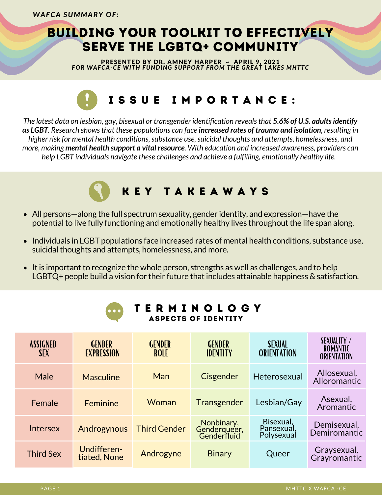## BUILDING YOUR TOOLKIT TO EFFECTIVELY SERVE THE LGBTQ+ COMMUNITY

PRESENTED BY DR. AMNEY HARPER ~ APRIL 9, 2021 *FOR WAFCA-CE WITH FUNDING SUPPORT FROM THE GREAT LAKES MHTTC*

# I S S U E I M P O R T A N C E :

*The latest data on lesbian, gay, bisexual or transgender identification revealsthat 5.6% of U.S. adultsidentify* as LGBT. Research shows that these populations can face increased rates of trauma and isolation, resulting in *higher risk for mental health conditions,substance use,suicidal thoughts and attempts, homelessness, and more, making mental health support a vital resource. With education and increased awareness, providers can help LGBT individuals navigate these challenges and achieve a fulfilling, emotionally healthy life.*

## K E Y T A K E A W A Y S

- All persons—along the full spectrum sexuality, gender identity, and expression—have the potential to live fully functioning and emotionally healthy lives throughout the life span along.
- Individuals in LGBT populations face increased rates of mental health conditions, substance use, suicidal thoughts and attempts, homelessness, and more.
- $\bullet$  It is important to recognize the whole person, strengths as well as challenges, and to help LGBTQ+ people build a vision for their future that includes attainable happiness  $\&$  satisfaction.

| <b>TERMINOLOGY</b><br>$\bullet$ $\bullet$ $\bullet$<br><b>ASPECTS OF IDENTITY</b> |                                    |                              |                                           |                                       |                                                             |
|-----------------------------------------------------------------------------------|------------------------------------|------------------------------|-------------------------------------------|---------------------------------------|-------------------------------------------------------------|
| <b>ASSIGNED</b><br><b>SEX</b>                                                     | <b>GENDER</b><br><b>EXPRESSION</b> | <b>GENDER</b><br><b>ROLE</b> | <b>GENDER</b><br><b>IDENTITY</b>          | <b>SEXUAL</b><br><b>ORIENTATION</b>   | <b>SEXUALITY /</b><br><b>ROMANTIC</b><br><b>ORIENTATION</b> |
| Male                                                                              | <b>Masculine</b>                   | Man                          | Cisgender                                 | Heterosexual                          | Allosexual,<br>Alloromantic                                 |
| Female                                                                            | Feminine                           | Woman                        | Transgender                               | Lesbian/Gay                           | Asexual,<br>Aromantic                                       |
| Intersex                                                                          | Androgynous                        | <b>Third Gender</b>          | Nonbinary,<br>Genderqueer,<br>Genderfluid | Bisexual,<br>Pansexual,<br>Polysexual | Demisexual,<br>Demiromantic                                 |
| <b>Third Sex</b>                                                                  | Undifferen-<br>tiated, None        | Androgyne                    | <b>Binary</b>                             | Queer                                 | Graysexual,<br>Grayromantic                                 |